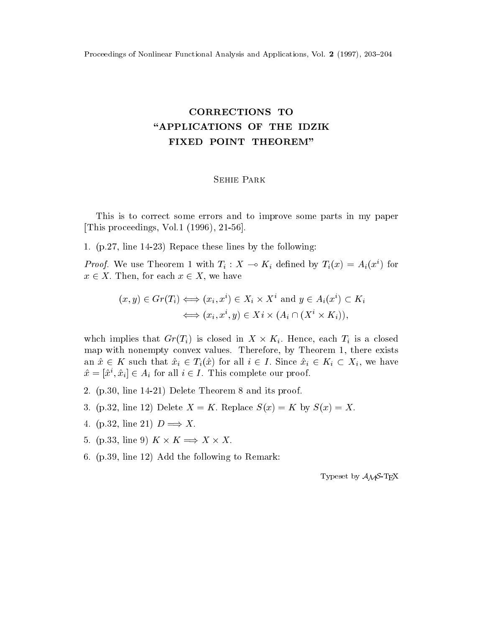## CORRECTIONS TO "APPLICATIONS OF THE IDZIK FIXED POINT THEOREM"

## Sehie Park

This is to correct some errors and to improve some parts in my paper [This proceedings, Vol.1 (1996), 21-56].

1. (p.27, line 14-23) Repace these lines by the following:

*Proof.* We use Theorem 1 with  $T_i: X \to K_i$  defined by  $T_i(x) = A_i(x^i)$  for  $x \in X$ . Then, for each  $x \in X$ , we have

$$
(x, y) \in Gr(T_i) \iff (x_i, x^i) \in X_i \times X^i \text{ and } y \in A_i(x^i) \subset K_i
$$
  

$$
\iff (x_i, x^i, y) \in X_i \times (A_i \cap (X^i \times K_i)),
$$

whch implies that  $Gr(T_i)$  is closed in  $X \times K_i$ . Hence, each  $T_i$  is a closed map with nonempty convex values. Therefore, by Theorem 1, there exists an  $\hat{x} \in K$  such that  $\hat{x}_i \in T_i(\hat{x})$  for all  $i \in I$ . Since  $\hat{x}_i \in K_i \subset X_i$ , we have  $\hat{x} = |\hat{x}^i, \hat{x}_i| \in A_i$  for all  $i \in I$ . This complete our proof.

- 2. (p.30, line 14-21) Delete Theorem 8 and its proof.
- 3. (p.32, line 12) Delete  $X = K$ . Replace  $S(x) = K$  by  $S(x) = X$ .
- 4. (p.32, line 21)  $D \Longrightarrow X$ .
- 5. (p.33, line 9)  $K \times K \implies X \times X$ .
- 6. (p.39, line 12) Add the following to Remark:

Typeset by  $A_{\mathcal{M}}S$ -TEX